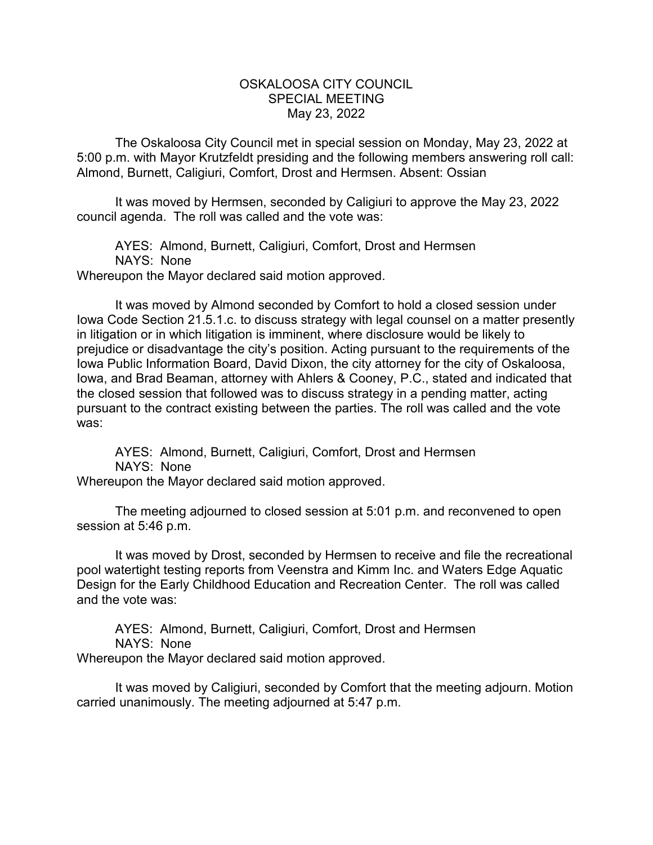## OSKALOOSA CITY COUNCIL SPECIAL MEETING May 23, 2022

The Oskaloosa City Council met in special session on Monday, May 23, 2022 at 5:00 p.m. with Mayor Krutzfeldt presiding and the following members answering roll call: Almond, Burnett, Caligiuri, Comfort, Drost and Hermsen. Absent: Ossian

It was moved by Hermsen, seconded by Caligiuri to approve the May 23, 2022 council agenda. The roll was called and the vote was:

AYES: Almond, Burnett, Caligiuri, Comfort, Drost and Hermsen NAYS: None Whereupon the Mayor declared said motion approved.

It was moved by Almond seconded by Comfort to hold a closed session under Iowa Code Section 21.5.1.c. to discuss strategy with legal counsel on a matter presently in litigation or in which litigation is imminent, where disclosure would be likely to prejudice or disadvantage the city's position. Acting pursuant to the requirements of the Iowa Public Information Board, David Dixon, the city attorney for the city of Oskaloosa, Iowa, and Brad Beaman, attorney with Ahlers & Cooney, P.C., stated and indicated that the closed session that followed was to discuss strategy in a pending matter, acting pursuant to the contract existing between the parties. The roll was called and the vote was:

AYES: Almond, Burnett, Caligiuri, Comfort, Drost and Hermsen NAYS: None Whereupon the Mayor declared said motion approved.

The meeting adjourned to closed session at 5:01 p.m. and reconvened to open session at 5:46 p.m.

It was moved by Drost, seconded by Hermsen to receive and file the recreational pool watertight testing reports from Veenstra and Kimm Inc. and Waters Edge Aquatic Design for the Early Childhood Education and Recreation Center. The roll was called and the vote was:

AYES: Almond, Burnett, Caligiuri, Comfort, Drost and Hermsen NAYS: None Whereupon the Mayor declared said motion approved.

It was moved by Caligiuri, seconded by Comfort that the meeting adjourn. Motion carried unanimously. The meeting adjourned at 5:47 p.m.